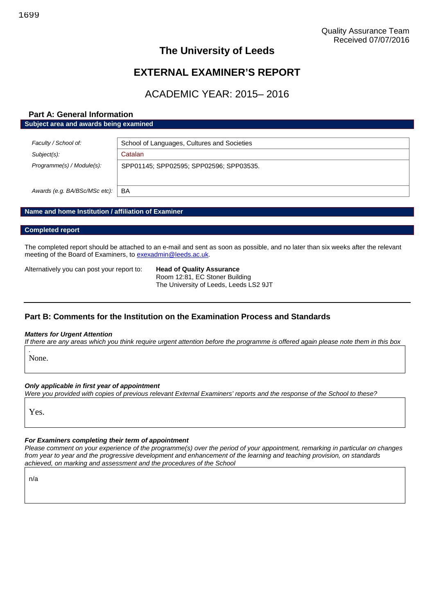## **The University of Leeds**

## **EXTERNAL EXAMINER'S REPORT**

## ACADEMIC YEAR: 2015– 2016

## **Part A: General Information Subject area and awards being examined**

| Faculty / School of:          | School of Languages, Cultures and Societies |  |  |
|-------------------------------|---------------------------------------------|--|--|
| Subject(s):                   | Catalan                                     |  |  |
| Programme(s) / Module(s):     | SPP01145; SPP02595; SPP02596; SPP03535.     |  |  |
| Awards (e.g. BA/BSc/MSc etc): | BA                                          |  |  |

### **Name and home Institution / affiliation of Examiner**

### **Completed report**

The completed report should be attached to an e-mail and sent as soon as possible, and no later than six weeks after the relevant meeting of the Board of Examiners, to [exexadmin@leeds.ac.uk.](mailto:exexadmin@leeds.ac.uk)

Alternatively you can post your report to: **Head of Quality Assurance**

Room 12:81, EC Stoner Building The University of Leeds, Leeds LS2 9JT

## **Part B: Comments for the Institution on the Examination Process and Standards**

### *Matters for Urgent Attention*

*If there are any areas which you think require urgent attention before the programme is offered again please note them in this box*

None.

*.*

*Only applicable in first year of appointment*

*Were you provided with copies of previous relevant External Examiners' reports and the response of the School to these?*

Yes.

### *For Examiners completing their term of appointment*

*Please comment on your experience of the programme(s) over the period of your appointment, remarking in particular on changes from year to year and the progressive development and enhancement of the learning and teaching provision, on standards achieved, on marking and assessment and the procedures of the School*

n/a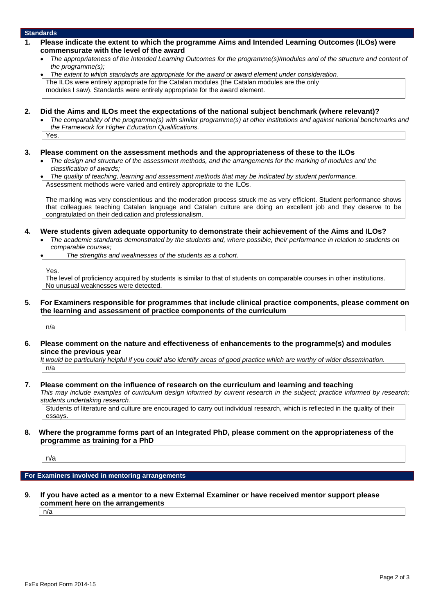### **Standards**

- **1. Please indicate the extent to which the programme Aims and Intended Learning Outcomes (ILOs) were commensurate with the level of the award**
	- *The appropriateness of the Intended Learning Outcomes for the programme(s)/modules and of the structure and content of the programme(s);*
	- *The extent to which standards are appropriate for the award or award element under consideration.* The ILOs were entirely appropriate for the Catalan modules (the Catalan modules are the only

modules I saw). Standards were entirely appropriate for the award element.

- **2. Did the Aims and ILOs meet the expectations of the national subject benchmark (where relevant)?**
	- *The comparability of the programme(s) with similar programme(s) at other institutions and against national benchmarks and the Framework for Higher Education Qualifications.*

Yes.

- **3. Please comment on the assessment methods and the appropriateness of these to the ILOs**
	- *The design and structure of the assessment methods, and the arrangements for the marking of modules and the classification of awards;*
	- *The quality of teaching, learning and assessment methods that may be indicated by student performance.* Assessment methods were varied and entirely appropriate to the ILOs.

The marking was very conscientious and the moderation process struck me as very efficient. Student performance shows that colleagues teaching Catalan language and Catalan culture are doing an excellent job and they deserve to be congratulated on their dedication and professionalism.

- **4. Were students given adequate opportunity to demonstrate their achievement of the Aims and ILOs?**
	- *The academic standards demonstrated by the students and, where possible, their performance in relation to students on comparable courses;*

*The strengths and weaknesses of the students as a cohort.*

Yes.

The level of proficiency acquired by students is similar to that of students on comparable courses in other institutions. No unusual weaknesses were detected.

**5. For Examiners responsible for programmes that include clinical practice components, please comment on the learning and assessment of practice components of the curriculum**

n/a

**6. Please comment on the nature and effectiveness of enhancements to the programme(s) and modules since the previous year**

*It would be particularly helpful if you could also identify areas of good practice which are worthy of wider dissemination.* n/a

**7. Please comment on the influence of research on the curriculum and learning and teaching**

*This may include examples of curriculum design informed by current research in the subject; practice informed by research; students undertaking research.*

Students of literature and culture are encouraged to carry out individual research, which is reflected in the quality of their essays.

**8. Where the programme forms part of an Integrated PhD, please comment on the appropriateness of the programme as training for a PhD**

n/a

### **For Examiners involved in mentoring arrangements**

**9. If you have acted as a mentor to a new External Examiner or have received mentor support please comment here on the arrangements**

n/a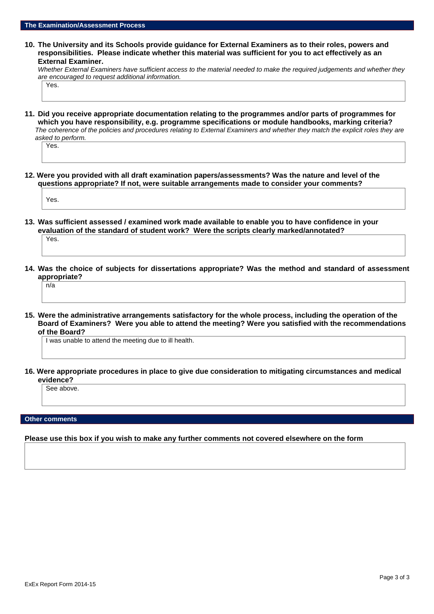**10. The University and its Schools provide guidance for External Examiners as to their roles, powers and responsibilities. Please indicate whether this material was sufficient for you to act effectively as an External Examiner.**

*Whether External Examiners have sufficient access to the material needed to make the required judgements and whether they are encouraged to request additional information.*

Yes.

**11. Did you receive appropriate documentation relating to the programmes and/or parts of programmes for which you have responsibility, e.g. programme specifications or module handbooks, marking criteria?** *The coherence of the policies and procedures relating to External Examiners and whether they match the explicit roles they are asked to perform.*

Yes.

**12. Were you provided with all draft examination papers/assessments? Was the nature and level of the questions appropriate? If not, were suitable arrangements made to consider your comments?**

Yes.

**13. Was sufficient assessed / examined work made available to enable you to have confidence in your evaluation of the standard of student work? Were the scripts clearly marked/annotated?**

Yes.

**14. Was the choice of subjects for dissertations appropriate? Was the method and standard of assessment appropriate?**

n/a

**15. Were the administrative arrangements satisfactory for the whole process, including the operation of the Board of Examiners? Were you able to attend the meeting? Were you satisfied with the recommendations of the Board?**

I was unable to attend the meeting due to ill health.

**16. Were appropriate procedures in place to give due consideration to mitigating circumstances and medical evidence?**

See above

**Other comments**

**Please use this box if you wish to make any further comments not covered elsewhere on the form**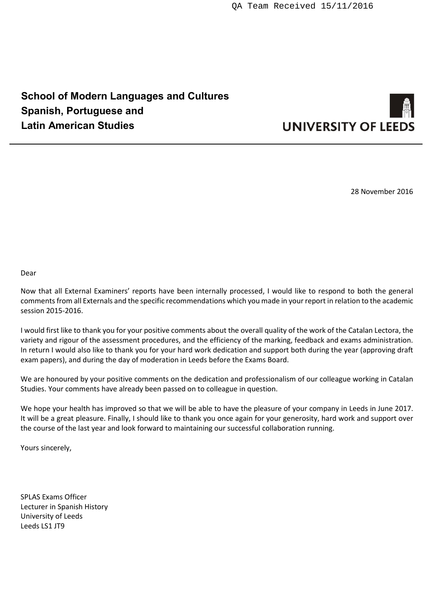# **School of Modern Languages and Cultures Spanish, Portuguese and Latin American Studies**



28 November 2016

Dear

Now that all External Examiners' reports have been internally processed, I would like to respond to both the general comments from all Externals and the specific recommendations which you made in your report in relation to the academic session 2015-2016.

I would first like to thank you for your positive comments about the overall quality of the work of the Catalan Lectora, the variety and rigour of the assessment procedures, and the efficiency of the marking, feedback and exams administration. In return I would also like to thank you for your hard work dedication and support both during the year (approving draft exam papers), and during the day of moderation in Leeds before the Exams Board.

We are honoured by your positive comments on the dedication and professionalism of our colleague working in Catalan Studies. Your comments have already been passed on to colleague in question.

We hope your health has improved so that we will be able to have the pleasure of your company in Leeds in June 2017. It will be a great pleasure. Finally, I should like to thank you once again for your generosity, hard work and support over the course of the last year and look forward to maintaining our successful collaboration running.

Yours sincerely,

SPLAS Exams Officer Lecturer in Spanish History University of Leeds Leeds LS1 JT9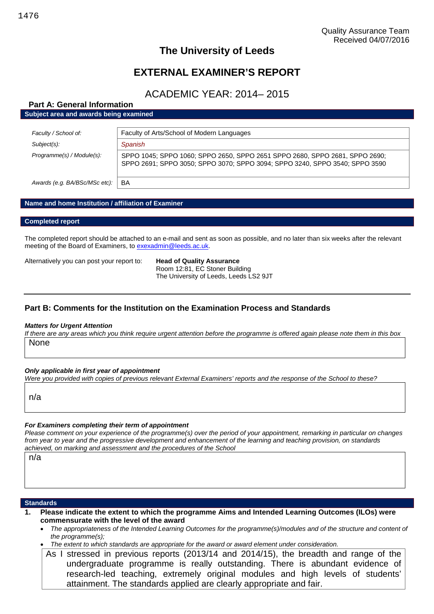## **The University of Leeds**

## **EXTERNAL EXAMINER'S REPORT**

## ACADEMIC YEAR: 2014– 2015

## **Part A: General Information**

**Subject area and awards being examined**

| Faculty / School of:          | Faculty of Arts/School of Modern Languages                                                                                                                 |  |  |
|-------------------------------|------------------------------------------------------------------------------------------------------------------------------------------------------------|--|--|
| Subject(s):                   | Spanish                                                                                                                                                    |  |  |
| Programme(s) / Module(s):     | SPPO 1045; SPPO 1060; SPPO 2650, SPPO 2651 SPPO 2680, SPPO 2681, SPPO 2690;<br>SPPO 2691; SPPO 3050; SPPO 3070; SPPO 3094; SPPO 3240, SPPO 3540; SPPO 3590 |  |  |
| Awards (e.g. BA/BSc/MSc etc): | BA                                                                                                                                                         |  |  |

### **Name and home Institution / affiliation of Examiner**

### **Completed report**

The completed report should be attached to an e-mail and sent as soon as possible, and no later than six weeks after the relevant meeting of the Board of Examiners, to [exexadmin@leeds.ac.uk.](mailto:exexadmin@leeds.ac.uk)

Alternatively you can post your report to: **Head of Quality Assurance**

Room 12:81, EC Stoner Building The University of Leeds, Leeds LS2 9JT

## **Part B: Comments for the Institution on the Examination Process and Standards**

### *Matters for Urgent Attention*

*If there are any areas which you think require urgent attention before the programme is offered again please note them in this box* None

### *Only applicable in first year of appointment*

*Were you provided with copies of previous relevant External Examiners' reports and the response of the School to these?*

n/a

### *For Examiners completing their term of appointment*

*Please comment on your experience of the programme(s) over the period of your appointment, remarking in particular on changes from year to year and the progressive development and enhancement of the learning and teaching provision, on standards achieved, on marking and assessment and the procedures of the School*

n/a

### **Standards**

- **1. Please indicate the extent to which the programme Aims and Intended Learning Outcomes (ILOs) were commensurate with the level of the award**
	- *The appropriateness of the Intended Learning Outcomes for the programme(s)/modules and of the structure and content of the programme(s);*
	- *The extent to which standards are appropriate for the award or award element under consideration.*
	- As I stressed in previous reports (2013/14 and 2014/15), the breadth and range of the undergraduate programme is really outstanding. There is abundant evidence of research-led teaching, extremely original modules and high levels of students' attainment. The standards applied are clearly appropriate and fair.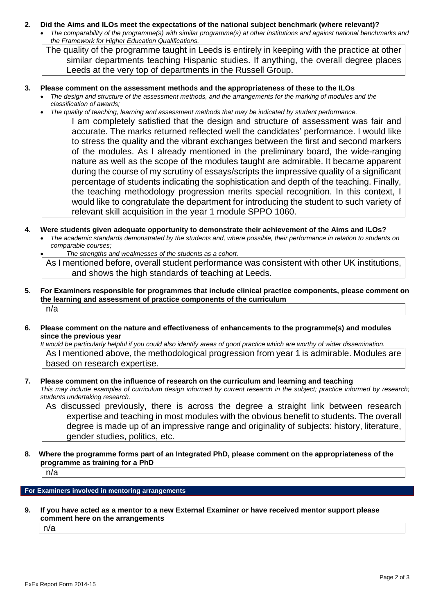### **2. Did the Aims and ILOs meet the expectations of the national subject benchmark (where relevant)?**

 *The comparability of the programme(s) with similar programme(s) at other institutions and against national benchmarks and the Framework for Higher Education Qualifications.*

The quality of the programme taught in Leeds is entirely in keeping with the practice at other similar departments teaching Hispanic studies. If anything, the overall degree places Leeds at the very top of departments in the Russell Group.

## **3. Please comment on the assessment methods and the appropriateness of these to the ILOs**

- *The design and structure of the assessment methods, and the arrangements for the marking of modules and the classification of awards;*
- *The quality of teaching, learning and assessment methods that may be indicated by student performance.*

I am completely satisfied that the design and structure of assessment was fair and accurate. The marks returned reflected well the candidates' performance. I would like to stress the quality and the vibrant exchanges between the first and second markers of the modules. As I already mentioned in the preliminary board, the wide-ranging nature as well as the scope of the modules taught are admirable. It became apparent during the course of my scrutiny of essays/scripts the impressive quality of a significant percentage of students indicating the sophistication and depth of the teaching. Finally, the teaching methodology progression merits special recognition. In this context, I would like to congratulate the department for introducing the student to such variety of relevant skill acquisition in the year 1 module SPPO 1060.

- **4. Were students given adequate opportunity to demonstrate their achievement of the Aims and ILOs?**
	- *The academic standards demonstrated by the students and, where possible, their performance in relation to students on comparable courses;*
		- *The strengths and weaknesses of the students as a cohort.*

As I mentioned before, overall student performance was consistent with other UK institutions, and shows the high standards of teaching at Leeds.

- **5. For Examiners responsible for programmes that include clinical practice components, please comment on the learning and assessment of practice components of the curriculum** n/a
- **6. Please comment on the nature and effectiveness of enhancements to the programme(s) and modules since the previous year**

*It would be particularly helpful if you could also identify areas of good practice which are worthy of wider dissemination.* As I mentioned above, the methodological progression from year 1 is admirable. Modules are based on research expertise.

**7. Please comment on the influence of research on the curriculum and learning and teaching** *This may include examples of curriculum design informed by current research in the subject; practice informed by research; students undertaking research.*

As discussed previously, there is across the degree a straight link between research expertise and teaching in most modules with the obvious benefit to students. The overall degree is made up of an impressive range and originality of subjects: history, literature, gender studies, politics, etc.

**8. Where the programme forms part of an Integrated PhD, please comment on the appropriateness of the programme as training for a PhD**

n/a

**For Examiners involved in mentoring arrangements**

**9. If you have acted as a mentor to a new External Examiner or have received mentor support please comment here on the arrangements**

n/a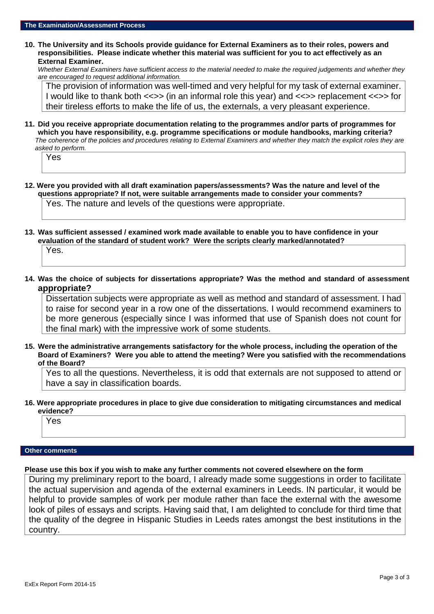**10. The University and its Schools provide guidance for External Examiners as to their roles, powers and responsibilities. Please indicate whether this material was sufficient for you to act effectively as an External Examiner.**

*Whether External Examiners have sufficient access to the material needed to make the required judgements and whether they are encouraged to request additional information.*

The provision of information was well-timed and very helpful for my task of external examiner. I would like to thank both <<>> (in an informal role this year) and <<>> replacement <<>> for their tireless efforts to make the life of us, the externals, a very pleasant experience.

**11. Did you receive appropriate documentation relating to the programmes and/or parts of programmes for which you have responsibility, e.g. programme specifications or module handbooks, marking criteria?** *The coherence of the policies and procedures relating to External Examiners and whether they match the explicit roles they are asked to perform.*

| oved to bellomit. |  |  |  |  |  |
|-------------------|--|--|--|--|--|
| 55                |  |  |  |  |  |
|                   |  |  |  |  |  |

**12. Were you provided with all draft examination papers/assessments? Was the nature and level of the questions appropriate? If not, were suitable arrangements made to consider your comments?**

Yes. The nature and levels of the questions were appropriate.

**13. Was sufficient assessed / examined work made available to enable you to have confidence in your evaluation of the standard of student work? Were the scripts clearly marked/annotated?**

Yes.

**14. Was the choice of subjects for dissertations appropriate? Was the method and standard of assessment appropriate?**

Dissertation subjects were appropriate as well as method and standard of assessment. I had to raise for second year in a row one of the dissertations. I would recommend examiners to be more generous (especially since I was informed that use of Spanish does not count for the final mark) with the impressive work of some students.

**15. Were the administrative arrangements satisfactory for the whole process, including the operation of the Board of Examiners? Were you able to attend the meeting? Were you satisfied with the recommendations of the Board?**

Yes to all the questions. Nevertheless, it is odd that externals are not supposed to attend or have a say in classification boards.

### **16. Were appropriate procedures in place to give due consideration to mitigating circumstances and medical evidence?**

Yes

## **Other comments**

## **Please use this box if you wish to make any further comments not covered elsewhere on the form**

During my preliminary report to the board, I already made some suggestions in order to facilitate the actual supervision and agenda of the external examiners in Leeds. IN particular, it would be helpful to provide samples of work per module rather than face the external with the awesome look of piles of essays and scripts. Having said that, I am delighted to conclude for third time that the quality of the degree in Hispanic Studies in Leeds rates amongst the best institutions in the country.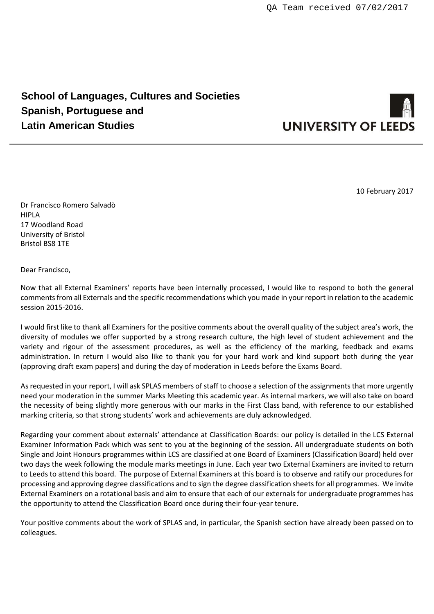# **School of Languages, Cultures and Societies Spanish, Portuguese and Latin American Studies**



10 February 2017

Dr Francisco Romero Salvadò HIPLA 17 Woodland Road University of Bristol Bristol BS8 1TE

Dear Francisco,

Now that all External Examiners' reports have been internally processed, I would like to respond to both the general comments from all Externals and the specific recommendations which you made in your report in relation to the academic session 2015-2016.

I would first like to thank all Examiners for the positive comments about the overall quality of the subject area's work, the diversity of modules we offer supported by a strong research culture, the high level of student achievement and the variety and rigour of the assessment procedures, as well as the efficiency of the marking, feedback and exams administration. In return I would also like to thank you for your hard work and kind support both during the year (approving draft exam papers) and during the day of moderation in Leeds before the Exams Board.

As requested in your report, I will ask SPLAS members of staff to choose a selection of the assignments that more urgently need your moderation in the summer Marks Meeting this academic year. As internal markers, we will also take on board the necessity of being slightly more generous with our marks in the First Class band, with reference to our established marking criteria, so that strong students' work and achievements are duly acknowledged.

Regarding your comment about externals' attendance at Classification Boards: our policy is detailed in the LCS External Examiner Information Pack which was sent to you at the beginning of the session. All undergraduate students on both Single and Joint Honours programmes within LCS are classified at one Board of Examiners (Classification Board) held over two days the week following the module marks meetings in June. Each year two External Examiners are invited to return to Leeds to attend this board. The purpose of External Examiners at this board is to observe and ratify our procedures for processing and approving degree classifications and to sign the degree classification sheets for all programmes. We invite External Examiners on a rotational basis and aim to ensure that each of our externals for undergraduate programmes has the opportunity to attend the Classification Board once during their four-year tenure.

Your positive comments about the work of SPLAS and, in particular, the Spanish section have already been passed on to colleagues.